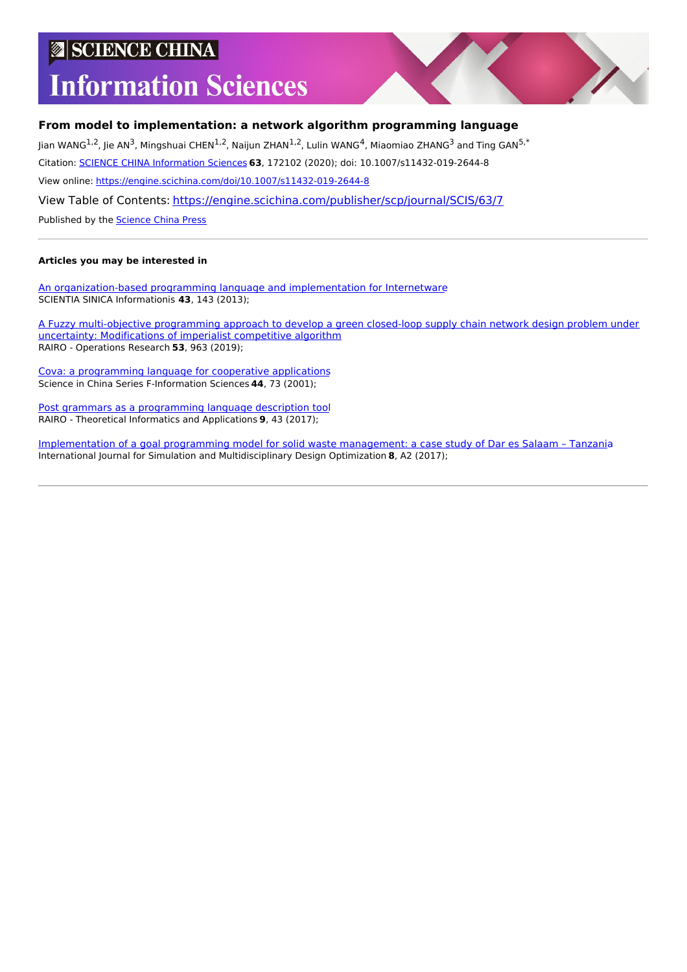# **SCIENCE CHINA**

# **Information Sciences**



# **From model to implementation: a network algorithm programming language**

Jian WANG<sup>1,2</sup>, Jie AN<sup>3</sup>, Mingshuai CHEN<sup>1,2</sup>, Naijun ZHAN<sup>1,2</sup>, Lulin WANG<sup>4</sup>, Miaomiao ZHANG<sup>3</sup> and Ting GAN<sup>5,\*</sup>

Citation: SCIENCE CHINA [Information](https://engine.scichina.com/publisher/scp/journal/SCIS) Sciences **63**, 172102 (2020); doi: 10.1007/s11432-019-2644-8

View online: <https://engine.scichina.com/doi/10.1007/s11432-019-2644-8>

View Table of Contents: <https://engine.scichina.com/publisher/scp/journal/SCIS/63/7>

Published by the [Science](https://engine.scichina.com/publisher/scp) China Press

#### **Articles you may be interested in**

An [organization-based](https://engine.scichina.com/doi/10.1360/112012-443) programming language and implementation for Internetware SCIENTIA SINICA Informationis **43**, 143 (2013);

A Fuzzy [multi-objective](https://engine.scichina.com/doi/10.1051/ro/2019018) programming approach to develop a green closed-loop supply chain network design problem under uncertainty: Modifications of imperialist competitive algorithm RAIRO - Operations Research **53**, 963 (2019);

Cova: a [programming](https://engine.scichina.com/doi/10.1007/BF02713942) language for cooperative applications Science in China Series F-Information Sciences **44**, 73 (2001);

Post grammars as a [programming](https://engine.scichina.com/doi/10.1051/ita/197509R100431) language description tool RAIRO - Theoretical Informatics and Applications **9**, 43 (2017);

[Implementation](https://engine.scichina.com/doi/10.1051/smdo/2016018) of a goal programming model for solid waste management: a case study of Dar es Salaam – Tanzania International Journal for Simulation and Multidisciplinary Design Optimization **8**, A2 (2017);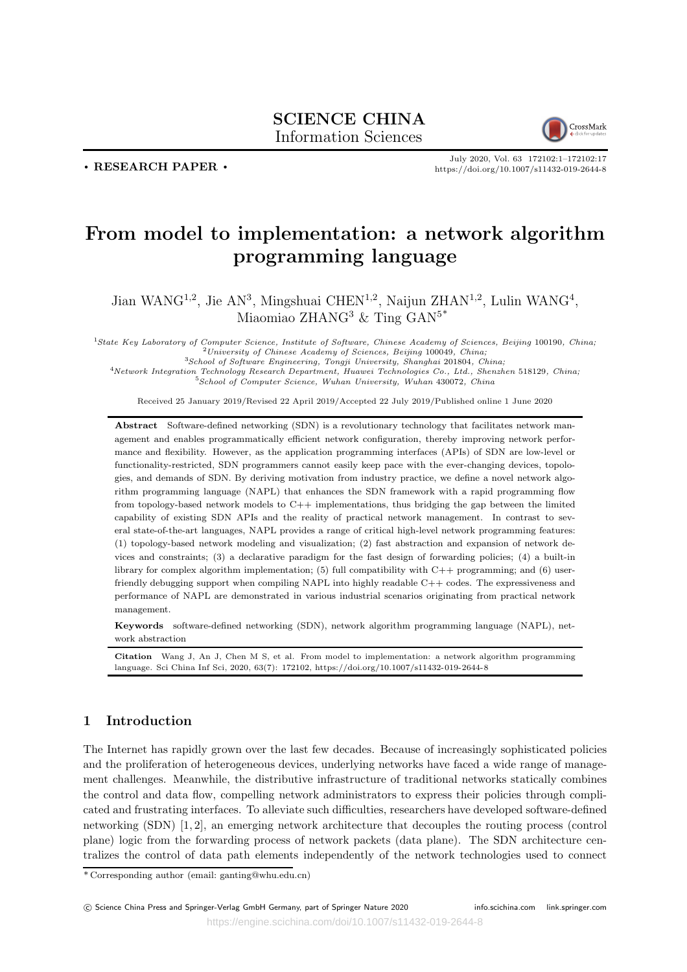# SCIENCE CHINA Information Sciences



. RESEARCH PAPER .

July 2020, Vol. 63 172102:1–172102:17 <https://doi.org/10.1007/s11432-019-2644-8>

# From model to implementation: a network algorithm programming language

Jian WANG<sup>1,2</sup>, Jie AN<sup>3</sup>, Mingshuai CHEN<sup>1,2</sup>, Naijun ZHAN<sup>1,2</sup>, Lulin WANG<sup>4</sup>, Miaomiao ZHANG<sup>3</sup> & Ting  $\text{GAN}^{5*}$ 

<sup>1</sup>State Key Laboratory of Computer Science, Institute of Software, Chinese Academy of Sciences, Beijing 100190, China;  $^{2}$ University of Chinese Academy of Sciences, Beijing 100049, China; <sup>3</sup>School of Software Engineering, Tongji University, Shanghai 201804, China;

<sup>4</sup>Network Integration Technology Research Department, Huawei Technologies Co., Ltd., Shenzhen 518129, China; <sup>5</sup>School of Computer Science, Wuhan University, Wuhan 430072, China

Received 25 January 2019/Revised 22 April 2019/Accepted 22 July 2019/Published online 1 June 2020

Abstract Software-defined networking (SDN) is a revolutionary technology that facilitates network management and enables programmatically efficient network configuration, thereby improving network performance and flexibility. However, as the application programming interfaces (APIs) of SDN are low-level or functionality-restricted, SDN programmers cannot easily keep pace with the ever-changing devices, topologies, and demands of SDN. By deriving motivation from industry practice, we define a novel network algorithm programming language (NAPL) that enhances the SDN framework with a rapid programming flow from topology-based network models to C++ implementations, thus bridging the gap between the limited capability of existing SDN APIs and the reality of practical network management. In contrast to several state-of-the-art languages, NAPL provides a range of critical high-level network programming features: (1) topology-based network modeling and visualization; (2) fast abstraction and expansion of network devices and constraints; (3) a declarative paradigm for the fast design of forwarding policies; (4) a built-in library for complex algorithm implementation; (5) full compatibility with C++ programming; and (6) userfriendly debugging support when compiling NAPL into highly readable C++ codes. The expressiveness and performance of NAPL are demonstrated in various industrial scenarios originating from practical network management.

Keywords software-defined networking (SDN), network algorithm programming language (NAPL), network abstraction

Citation Wang J, An J, Chen M S, et al. From model to implementation: a network algorithm programming language. Sci China Inf Sci, 2020, 63(7): 172102,<https://doi.org/10.1007/s11432-019-2644-8>

# 1 Introduction

The Internet has rapidly grown over the last few decades. Because of increasingly sophisticated policies and the proliferation of heterogeneous devices, underlying networks have faced a wide range of management challenges. Meanwhile, the distributive infrastructure of traditional networks statically combines the control and data flow, compelling network administrators to express their policies through complicated and frustrating interfaces. To alleviate such difficulties, researchers have developed software-defined networking (SDN) [1, 2], an emerging network architecture that decouples the routing process (control plane) logic from the forwarding process of network packets (data plane). The SDN architecture centralizes the control of data path elements independently of the network technologies used to connect

https://engine.scichina.com/doi/10.1007/s11432-019-2644-8

<sup>\*</sup> Corresponding author (email: ganting@whu.edu.cn)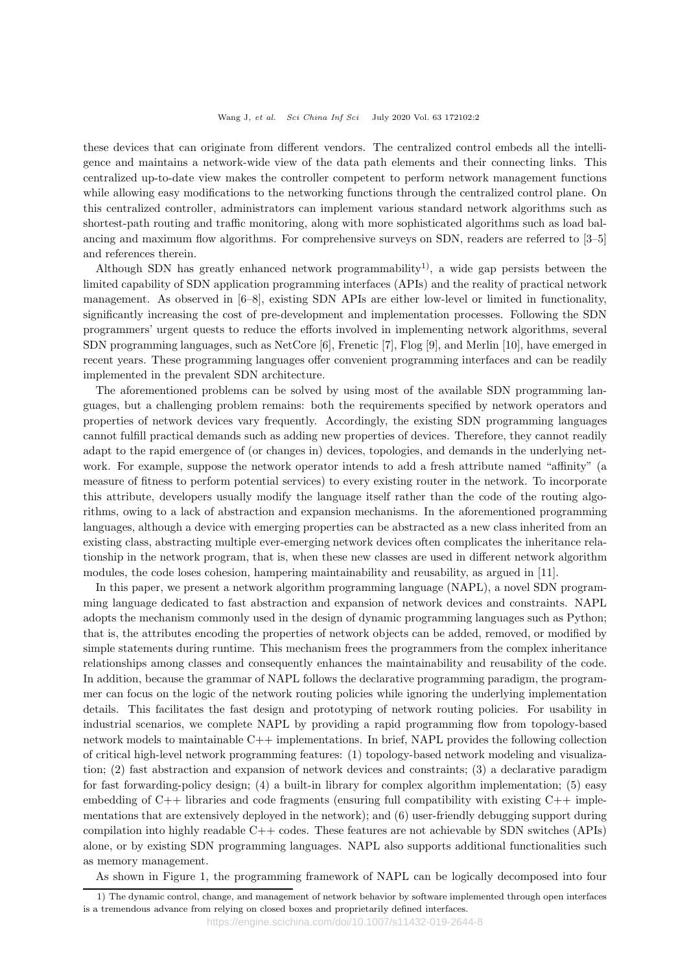these devices that can originate from different vendors. The centralized control embeds all the intelligence and maintains a network-wide view of the data path elements and their connecting links. This centralized up-to-date view makes the controller competent to perform network management functions while allowing easy modifications to the networking functions through the centralized control plane. On this centralized controller, administrators can implement various standard network algorithms such as shortest-path routing and traffic monitoring, along with more sophisticated algorithms such as load balancing and maximum flow algorithms. For comprehensive surveys on SDN, readers are referred to [3–5] and references therein.

Although SDN has greatly enhanced network programmability<sup>1</sup>, a wide gap persists between the limited capability of SDN application programming interfaces (APIs) and the reality of practical network management. As observed in [6–8], existing SDN APIs are either low-level or limited in functionality, significantly increasing the cost of pre-development and implementation processes. Following the SDN programmers' urgent quests to reduce the efforts involved in implementing network algorithms, several SDN programming languages, such as NetCore [6], Frenetic [7], Flog [9], and Merlin [10], have emerged in recent years. These programming languages offer convenient programming interfaces and can be readily implemented in the prevalent SDN architecture.

The aforementioned problems can be solved by using most of the available SDN programming languages, but a challenging problem remains: both the requirements specified by network operators and properties of network devices vary frequently. Accordingly, the existing SDN programming languages cannot fulfill practical demands such as adding new properties of devices. Therefore, they cannot readily adapt to the rapid emergence of (or changes in) devices, topologies, and demands in the underlying network. For example, suppose the network operator intends to add a fresh attribute named "affinity" (a measure of fitness to perform potential services) to every existing router in the network. To incorporate this attribute, developers usually modify the language itself rather than the code of the routing algorithms, owing to a lack of abstraction and expansion mechanisms. In the aforementioned programming languages, although a device with emerging properties can be abstracted as a new class inherited from an existing class, abstracting multiple ever-emerging network devices often complicates the inheritance relationship in the network program, that is, when these new classes are used in different network algorithm modules, the code loses cohesion, hampering maintainability and reusability, as argued in [11].

In this paper, we present a network algorithm programming language (NAPL), a novel SDN programming language dedicated to fast abstraction and expansion of network devices and constraints. NAPL adopts the mechanism commonly used in the design of dynamic programming languages such as Python; that is, the attributes encoding the properties of network objects can be added, removed, or modified by simple statements during runtime. This mechanism frees the programmers from the complex inheritance relationships among classes and consequently enhances the maintainability and reusability of the code. In addition, because the grammar of NAPL follows the declarative programming paradigm, the programmer can focus on the logic of the network routing policies while ignoring the underlying implementation details. This facilitates the fast design and prototyping of network routing policies. For usability in industrial scenarios, we complete NAPL by providing a rapid programming flow from topology-based network models to maintainable C++ implementations. In brief, NAPL provides the following collection of critical high-level network programming features: (1) topology-based network modeling and visualization; (2) fast abstraction and expansion of network devices and constraints; (3) a declarative paradigm for fast forwarding-policy design; (4) a built-in library for complex algorithm implementation; (5) easy embedding of  $C_{++}$  libraries and code fragments (ensuring full compatibility with existing  $C_{++}$  implementations that are extensively deployed in the network); and (6) user-friendly debugging support during compilation into highly readable C++ codes. These features are not achievable by SDN switches (APIs) alone, or by existing SDN programming languages. NAPL also supports additional functionalities such as memory management.

As shown in Figure 1, the programming framework of NAPL can be logically decomposed into four

<sup>1)</sup> The dynamic control, change, and management of network behavior by software implemented through open interfaces is a tremendous advance from relying on closed boxes and proprietarily defined interfaces.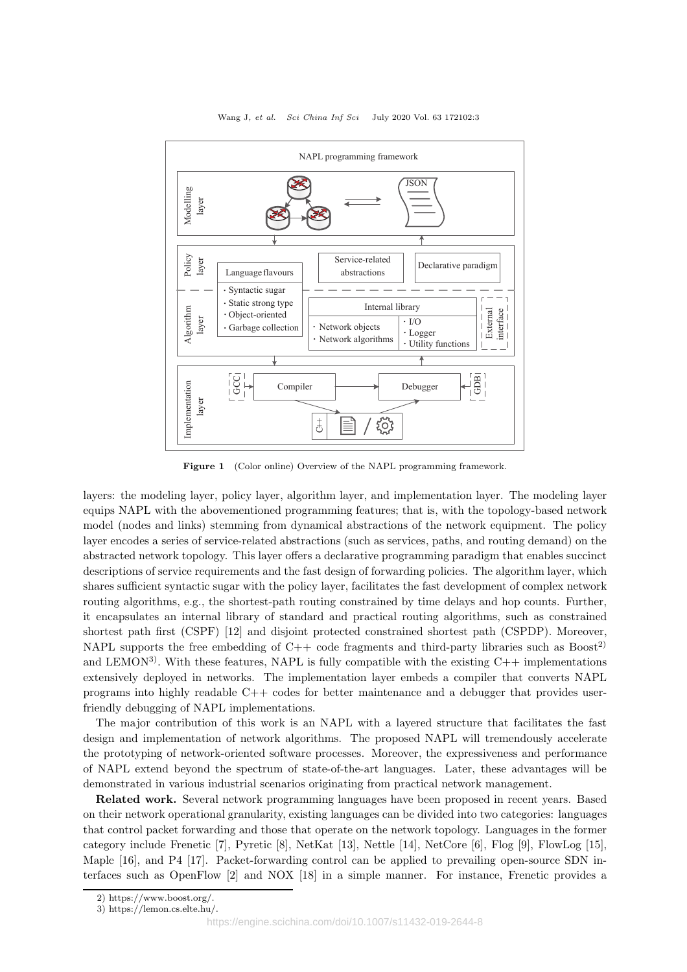

Wang J, et al. Sci China Inf Sci July 2020 Vol. 63 172102:3

Figure 1 (Color online) Overview of the NAPL programming framework.

layers: the modeling layer, policy layer, algorithm layer, and implementation layer. The modeling layer equips NAPL with the abovementioned programming features; that is, with the topology-based network model (nodes and links) stemming from dynamical abstractions of the network equipment. The policy layer encodes a series of service-related abstractions (such as services, paths, and routing demand) on the abstracted network topology. This layer offers a declarative programming paradigm that enables succinct descriptions of service requirements and the fast design of forwarding policies. The algorithm layer, which shares sufficient syntactic sugar with the policy layer, facilitates the fast development of complex network routing algorithms, e.g., the shortest-path routing constrained by time delays and hop counts. Further, it encapsulates an internal library of standard and practical routing algorithms, such as constrained shortest path first (CSPF) [12] and disjoint protected constrained shortest path (CSPDP). Moreover, NAPL supports the free embedding of  $C++$  code fragments and third-party libraries such as Boost<sup>2</sup> and LEMON<sup>3</sup>. With these features, NAPL is fully compatible with the existing  $C++$  implementations extensively deployed in networks. The implementation layer embeds a compiler that converts NAPL programs into highly readable C++ codes for better maintenance and a debugger that provides userfriendly debugging of NAPL implementations.

The major contribution of this work is an NAPL with a layered structure that facilitates the fast design and implementation of network algorithms. The proposed NAPL will tremendously accelerate the prototyping of network-oriented software processes. Moreover, the expressiveness and performance of NAPL extend beyond the spectrum of state-of-the-art languages. Later, these advantages will be demonstrated in various industrial scenarios originating from practical network management.

Related work. Several network programming languages have been proposed in recent years. Based on their network operational granularity, existing languages can be divided into two categories: languages that control packet forwarding and those that operate on the network topology. Languages in the former category include Frenetic [7], Pyretic [8], NetKat [13], Nettle [14], NetCore [6], Flog [9], FlowLog [15], Maple [16], and P4 [17]. Packet-forwarding control can be applied to prevailing open-source SDN interfaces such as OpenFlow [2] and NOX [18] in a simple manner. For instance, Frenetic provides a

<sup>2)</sup> [https://www.boost.org/.](https://www.boost.org/)

<sup>3)</sup> [https://lemon.cs.elte.hu/.](https://lemon.cs.elte.hu/)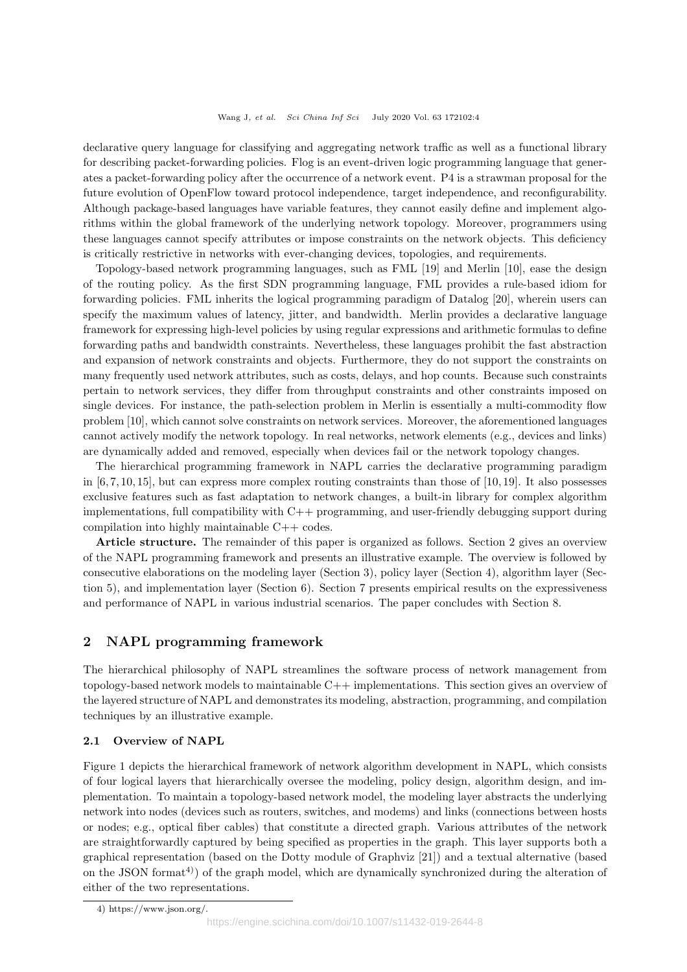declarative query language for classifying and aggregating network traffic as well as a functional library for describing packet-forwarding policies. Flog is an event-driven logic programming language that generates a packet-forwarding policy after the occurrence of a network event. P4 is a strawman proposal for the future evolution of OpenFlow toward protocol independence, target independence, and reconfigurability. Although package-based languages have variable features, they cannot easily define and implement algorithms within the global framework of the underlying network topology. Moreover, programmers using these languages cannot specify attributes or impose constraints on the network objects. This deficiency is critically restrictive in networks with ever-changing devices, topologies, and requirements.

Topology-based network programming languages, such as FML [19] and Merlin [10], ease the design of the routing policy. As the first SDN programming language, FML provides a rule-based idiom for forwarding policies. FML inherits the logical programming paradigm of Datalog [20], wherein users can specify the maximum values of latency, jitter, and bandwidth. Merlin provides a declarative language framework for expressing high-level policies by using regular expressions and arithmetic formulas to define forwarding paths and bandwidth constraints. Nevertheless, these languages prohibit the fast abstraction and expansion of network constraints and objects. Furthermore, they do not support the constraints on many frequently used network attributes, such as costs, delays, and hop counts. Because such constraints pertain to network services, they differ from throughput constraints and other constraints imposed on single devices. For instance, the path-selection problem in Merlin is essentially a multi-commodity flow problem [10], which cannot solve constraints on network services. Moreover, the aforementioned languages cannot actively modify the network topology. In real networks, network elements (e.g., devices and links) are dynamically added and removed, especially when devices fail or the network topology changes.

The hierarchical programming framework in NAPL carries the declarative programming paradigm in  $[6, 7, 10, 15]$ , but can express more complex routing constraints than those of  $[10, 19]$ . It also possesses exclusive features such as fast adaptation to network changes, a built-in library for complex algorithm implementations, full compatibility with  $C++$  programming, and user-friendly debugging support during compilation into highly maintainable C++ codes.

Article structure. The remainder of this paper is organized as follows. Section 2 gives an overview of the NAPL programming framework and presents an illustrative example. The overview is followed by consecutive elaborations on the modeling layer (Section 3), policy layer (Section 4), algorithm layer (Section 5), and implementation layer (Section 6). Section 7 presents empirical results on the expressiveness and performance of NAPL in various industrial scenarios. The paper concludes with Section 8.

# 2 NAPL programming framework

The hierarchical philosophy of NAPL streamlines the software process of network management from topology-based network models to maintainable C++ implementations. This section gives an overview of the layered structure of NAPL and demonstrates its modeling, abstraction, programming, and compilation techniques by an illustrative example.

#### 2.1 Overview of NAPL

Figure 1 depicts the hierarchical framework of network algorithm development in NAPL, which consists of four logical layers that hierarchically oversee the modeling, policy design, algorithm design, and implementation. To maintain a topology-based network model, the modeling layer abstracts the underlying network into nodes (devices such as routers, switches, and modems) and links (connections between hosts or nodes; e.g., optical fiber cables) that constitute a directed graph. Various attributes of the network are straightforwardly captured by being specified as properties in the graph. This layer supports both a graphical representation (based on the Dotty module of Graphviz [21]) and a textual alternative (based on the JSON format<sup>4)</sup>) of the graph model, which are dynamically synchronized during the alteration of either of the two representations.

<sup>4)</sup> [https://www.json.org/.](https://www.json.org/)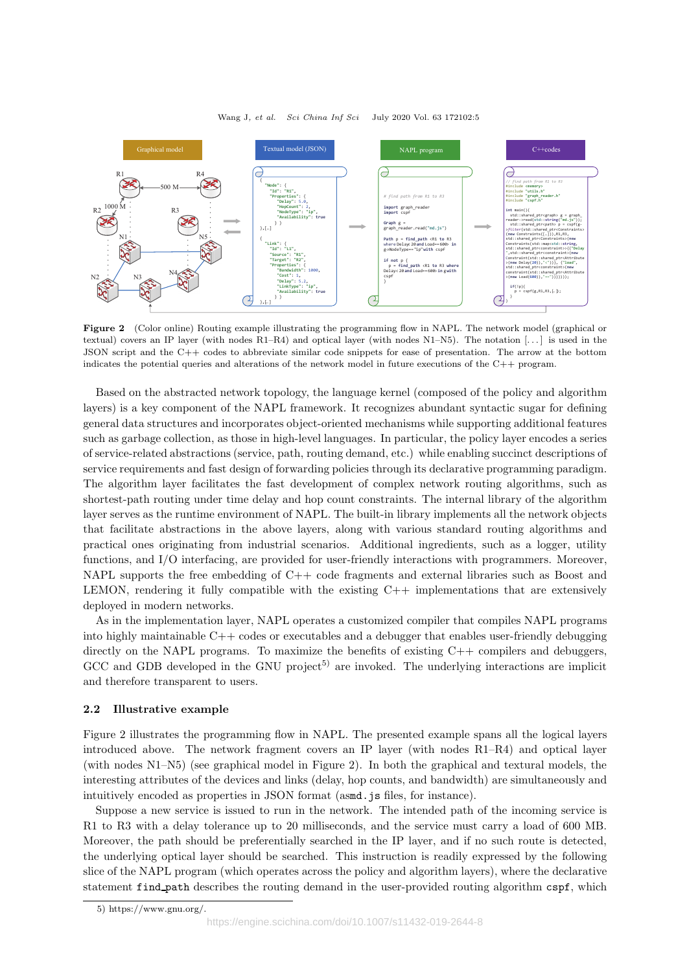



Figure 2 (Color online) Routing example illustrating the programming flow in NAPL. The network model (graphical or textual) covers an IP layer (with nodes R1–R4) and optical layer (with nodes  $N1-N5$ ). The notation [...] is used in the JSON script and the C++ codes to abbreviate similar code snippets for ease of presentation. The arrow at the bottom indicates the potential queries and alterations of the network model in future executions of the C++ program.

Based on the abstracted network topology, the language kernel (composed of the policy and algorithm layers) is a key component of the NAPL framework. It recognizes abundant syntactic sugar for defining general data structures and incorporates object-oriented mechanisms while supporting additional features such as garbage collection, as those in high-level languages. In particular, the policy layer encodes a series of service-related abstractions (service, path, routing demand, etc.) while enabling succinct descriptions of service requirements and fast design of forwarding policies through its declarative programming paradigm. The algorithm layer facilitates the fast development of complex network routing algorithms, such as shortest-path routing under time delay and hop count constraints. The internal library of the algorithm layer serves as the runtime environment of NAPL. The built-in library implements all the network objects that facilitate abstractions in the above layers, along with various standard routing algorithms and practical ones originating from industrial scenarios. Additional ingredients, such as a logger, utility functions, and I/O interfacing, are provided for user-friendly interactions with programmers. Moreover, NAPL supports the free embedding of C++ code fragments and external libraries such as Boost and LEMON, rendering it fully compatible with the existing  $C++$  implementations that are extensively deployed in modern networks.

As in the implementation layer, NAPL operates a customized compiler that compiles NAPL programs into highly maintainable C++ codes or executables and a debugger that enables user-friendly debugging directly on the NAPL programs. To maximize the benefits of existing  $C++$  compilers and debuggers, GCC and GDB developed in the GNU project<sup>5)</sup> are invoked. The underlying interactions are implicit and therefore transparent to users.

#### 2.2 Illustrative example

Figure 2 illustrates the programming flow in NAPL. The presented example spans all the logical layers introduced above. The network fragment covers an IP layer (with nodes R1–R4) and optical layer (with nodes N1–N5) (see graphical model in Figure 2). In both the graphical and textural models, the interesting attributes of the devices and links (delay, hop counts, and bandwidth) are simultaneously and intuitively encoded as properties in JSON format (asmd. js files, for instance).

Suppose a new service is issued to run in the network. The intended path of the incoming service is R1 to R3 with a delay tolerance up to 20 milliseconds, and the service must carry a load of 600 MB. Moreover, the path should be preferentially searched in the IP layer, and if no such route is detected, the underlying optical layer should be searched. This instruction is readily expressed by the following slice of the NAPL program (which operates across the policy and algorithm layers), where the declarative statement find path describes the routing demand in the user-provided routing algorithm cspf, which

<sup>5)</sup> [https://www.gnu.org/.](https://www.gnu.org/)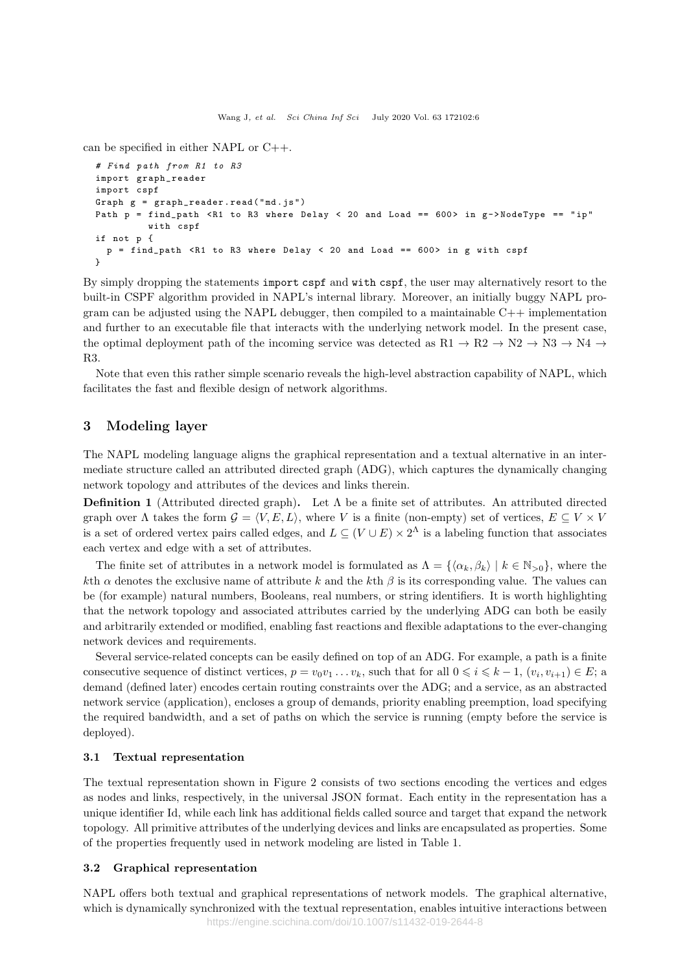can be specified in either NAPL or C++.

```
# Find path from R1 to R3
import graph_reader
import cspf
Graph g = graph_reader . read ( " md . js ")
Path p = find_path <R1 to R3 where Delay < 20 and Load == 600> in g->NodeType == "ip"
         with cspf
if not p {
  p = find\_path <R1 to R3 where Delay < 20 and Load == 600> in g with cspf
}
```
By simply dropping the statements import cspf and with cspf, the user may alternatively resort to the built-in CSPF algorithm provided in NAPL's internal library. Moreover, an initially buggy NAPL program can be adjusted using the NAPL debugger, then compiled to a maintainable  $C++$  implementation and further to an executable file that interacts with the underlying network model. In the present case, the optimal deployment path of the incoming service was detected as  $R1 \rightarrow R2 \rightarrow N2 \rightarrow N3 \rightarrow N4 \rightarrow$ R3.

Note that even this rather simple scenario reveals the high-level abstraction capability of NAPL, which facilitates the fast and flexible design of network algorithms.

# 3 Modeling layer

The NAPL modeling language aligns the graphical representation and a textual alternative in an intermediate structure called an attributed directed graph (ADG), which captures the dynamically changing network topology and attributes of the devices and links therein.

**Definition 1** (Attributed directed graph). Let  $\Lambda$  be a finite set of attributes. An attributed directed graph over  $\Lambda$  takes the form  $\mathcal{G} = \langle V, E, L \rangle$ , where V is a finite (non-empty) set of vertices,  $E \subseteq V \times V$ is a set of ordered vertex pairs called edges, and  $L \subseteq (V \cup E) \times 2^{\Lambda}$  is a labeling function that associates each vertex and edge with a set of attributes.

The finite set of attributes in a network model is formulated as  $\Lambda = {\langle \alpha_k, \beta_k \rangle | k \in \mathbb{N}_{>0}}$ , where the kth  $\alpha$  denotes the exclusive name of attribute k and the kth  $\beta$  is its corresponding value. The values can be (for example) natural numbers, Booleans, real numbers, or string identifiers. It is worth highlighting that the network topology and associated attributes carried by the underlying ADG can both be easily and arbitrarily extended or modified, enabling fast reactions and flexible adaptations to the ever-changing network devices and requirements.

Several service-related concepts can be easily defined on top of an ADG. For example, a path is a finite consecutive sequence of distinct vertices,  $p = v_0v_1 \dots v_k$ , such that for all  $0 \leq i \leq k-1$ ,  $(v_i, v_{i+1}) \in E$ ; a demand (defined later) encodes certain routing constraints over the ADG; and a service, as an abstracted network service (application), encloses a group of demands, priority enabling preemption, load specifying the required bandwidth, and a set of paths on which the service is running (empty before the service is deployed).

#### 3.1 Textual representation

The textual representation shown in Figure 2 consists of two sections encoding the vertices and edges as nodes and links, respectively, in the universal JSON format. Each entity in the representation has a unique identifier Id, while each link has additional fields called source and target that expand the network topology. All primitive attributes of the underlying devices and links are encapsulated as properties. Some of the properties frequently used in network modeling are listed in Table 1.

#### 3.2 Graphical representation

NAPL offers both textual and graphical representations of network models. The graphical alternative, which is dynamically synchronized with the textual representation, enables intuitive interactions between https://engine.scichina.com/doi/10.1007/s11432-019-2644-8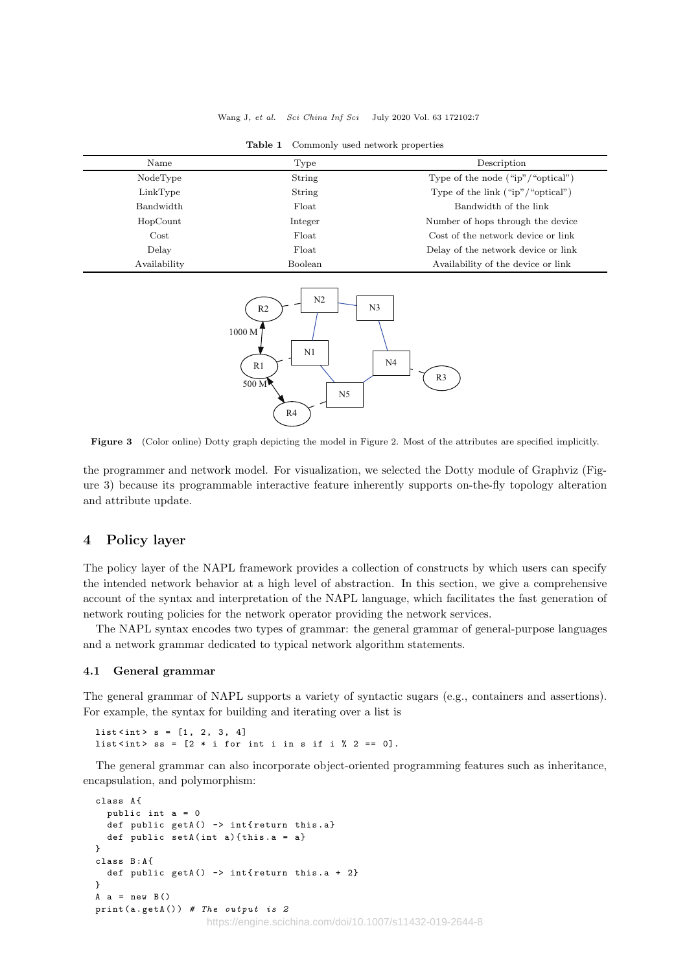| Name         | Type    | Description                           |  |
|--------------|---------|---------------------------------------|--|
| NodeType     | String  | Type of the node $("ip" / "optical")$ |  |
| LinkType     | String  | Type of the link ("ip"/"optical")     |  |
| Bandwidth    | Float   | Bandwidth of the link                 |  |
| HopCount     | Integer | Number of hops through the device     |  |
| Cost         | Float   | Cost of the network device or link    |  |
| Delay        | Float   | Delay of the network device or link   |  |
| Availability | Boolean | Availability of the device or link    |  |

Table 1 Commonly used network properties



Figure 3 (Color online) Dotty graph depicting the model in Figure 2. Most of the attributes are specified implicitly.

the programmer and network model. For visualization, we selected the Dotty module of Graphviz (Figure 3) because its programmable interactive feature inherently supports on-the-fly topology alteration and attribute update.

#### 4 Policy layer

The policy layer of the NAPL framework provides a collection of constructs by which users can specify the intended network behavior at a high level of abstraction. In this section, we give a comprehensive account of the syntax and interpretation of the NAPL language, which facilitates the fast generation of network routing policies for the network operator providing the network services.

The NAPL syntax encodes two types of grammar: the general grammar of general-purpose languages and a network grammar dedicated to typical network algorithm statements.

#### 4.1 General grammar

The general grammar of NAPL supports a variety of syntactic sugars (e.g., containers and assertions). For example, the syntax for building and iterating over a list is

```
list < int > s = [1, 2, 3, 4]list \langle int > ss = [2 * i for int i in s if i % 2 == 0].
```
The general grammar can also incorporate object-oriented programming features such as inheritance, encapsulation, and polymorphism:

```
class A {
  public int a = 0
  def public getA() -> int{return this.a}
  def public setA(int a){this.a = a}
}
class B:A{
  def public getA() \rightarrow int{return this.a + 2}
}
A a = new B()print (a.getA()) # The output is 2
                      https://engine.scichina.com/doi/10.1007/s11432-019-2644-8
```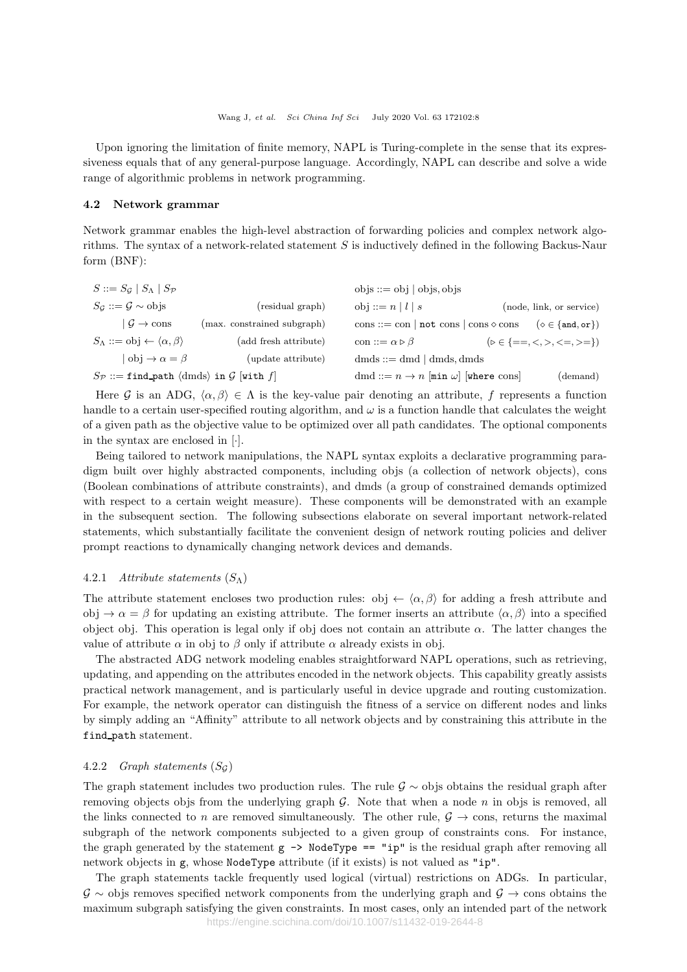Upon ignoring the limitation of finite memory, NAPL is Turing-complete in the sense that its expressiveness equals that of any general-purpose language. Accordingly, NAPL can describe and solve a wide range of algorithmic problems in network programming.

#### 4.2 Network grammar

Network grammar enables the high-level abstraction of forwarding policies and complex network algorithms. The syntax of a network-related statement S is inductively defined in the following Backus-Naur form (BNF):

| $S ::= S_{\mathcal{G}}   S_{\Lambda}   S_{\mathcal{P}}$                            |                             | $objs ::= obj   objs, objs$                                          |                                                 |  |  |  |
|------------------------------------------------------------------------------------|-----------------------------|----------------------------------------------------------------------|-------------------------------------------------|--|--|--|
| $S_{\mathcal{G}} ::= \mathcal{G} \sim \text{obis}$                                 | (residual graph)            | $obj ::= n   l   s$                                                  | (node, link, or service)                        |  |  |  |
| $\mathcal{G} \rightarrow \text{cons}$                                              | (max. constrained subgraph) | cons ::= con   not cons   cons $\diamond$ cons $\diamond$ {and, or}) |                                                 |  |  |  |
| $S_{\Lambda} ::= \text{obj} \leftarrow \langle \alpha, \beta \rangle$              | (add fresh attribute)       | con $\cdots = \alpha \triangleright \beta$                           | $(\triangleright \in \{ ==, <, >, < =, > = \})$ |  |  |  |
| $\phi$ obj $\rightarrow \alpha = \beta$                                            | (update attribute)          | dmds $ ::=$ dmd $ $ dmds, dmds                                       |                                                 |  |  |  |
| $S_{\mathcal{P}} ::=$ find path $\langle$ dmds $\rangle$ in $\mathcal{G}$ [with f] |                             | dmd ::= $n \to n$ [min $\omega$ ] [where cons]                       | (demand)                                        |  |  |  |

Here G is an ADG,  $\langle \alpha, \beta \rangle \in \Lambda$  is the key-value pair denoting an attribute, f represents a function handle to a certain user-specified routing algorithm, and  $\omega$  is a function handle that calculates the weight of a given path as the objective value to be optimized over all path candidates. The optional components in the syntax are enclosed in [·].

Being tailored to network manipulations, the NAPL syntax exploits a declarative programming paradigm built over highly abstracted components, including objs (a collection of network objects), cons (Boolean combinations of attribute constraints), and dmds (a group of constrained demands optimized with respect to a certain weight measure). These components will be demonstrated with an example in the subsequent section. The following subsections elaborate on several important network-related statements, which substantially facilitate the convenient design of network routing policies and deliver prompt reactions to dynamically changing network devices and demands.

#### 4.2.1 Attribute statements  $(S_{\Lambda})$

The attribute statement encloses two production rules: obj  $\leftarrow \langle \alpha, \beta \rangle$  for adding a fresh attribute and obj  $\rightarrow \alpha = \beta$  for updating an existing attribute. The former inserts an attribute  $\langle \alpha, \beta \rangle$  into a specified object obj. This operation is legal only if obj does not contain an attribute  $\alpha$ . The latter changes the value of attribute  $\alpha$  in obj to  $\beta$  only if attribute  $\alpha$  already exists in obj.

The abstracted ADG network modeling enables straightforward NAPL operations, such as retrieving, updating, and appending on the attributes encoded in the network objects. This capability greatly assists practical network management, and is particularly useful in device upgrade and routing customization. For example, the network operator can distinguish the fitness of a service on different nodes and links by simply adding an "Affinity" attribute to all network objects and by constraining this attribute in the find path statement.

#### 4.2.2 Graph statements  $(S_G)$

The graph statement includes two production rules. The rule  $\mathcal{G} \sim$  objs obtains the residual graph after removing objects objs from the underlying graph  $G$ . Note that when a node  $n$  in objs is removed, all the links connected to n are removed simultaneously. The other rule,  $\mathcal{G} \rightarrow \text{cons}$ , returns the maximal subgraph of the network components subjected to a given group of constraints cons. For instance, the graph generated by the statement  $g \rightarrow$  NodeType == "ip" is the residual graph after removing all network objects in g, whose NodeType attribute (if it exists) is not valued as "ip".

The graph statements tackle frequently used logical (virtual) restrictions on ADGs. In particular,  $\mathcal{G} \sim$  objs removes specified network components from the underlying graph and  $\mathcal{G} \rightarrow$  cons obtains the maximum subgraph satisfying the given constraints. In most cases, only an intended part of the network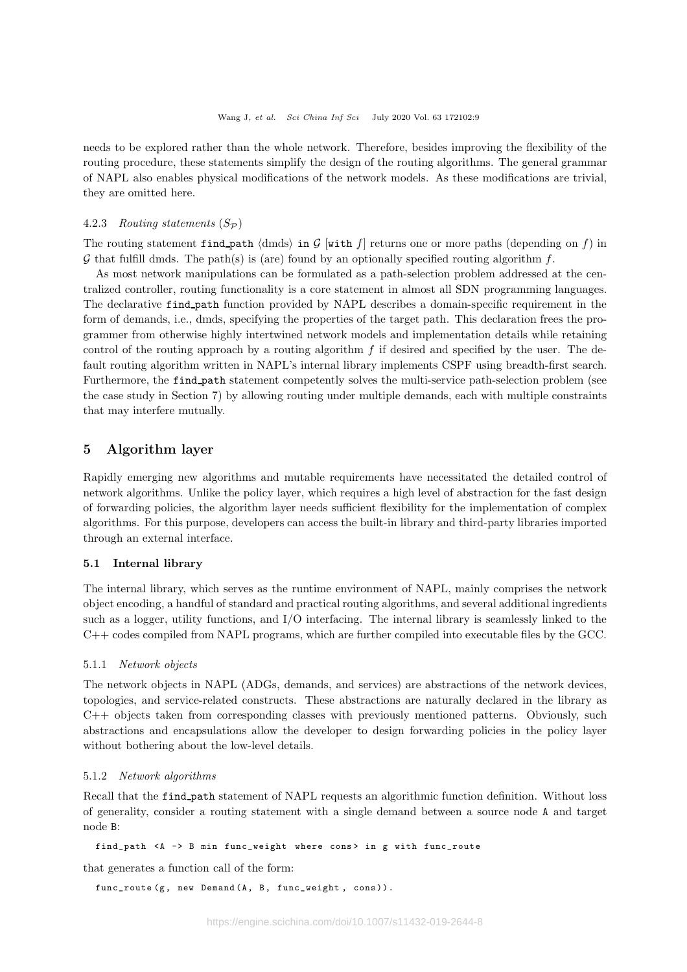needs to be explored rather than the whole network. Therefore, besides improving the flexibility of the routing procedure, these statements simplify the design of the routing algorithms. The general grammar of NAPL also enables physical modifications of the network models. As these modifications are trivial, they are omitted here.

#### 4.2.3 Routing statements  $(S_{\mathcal{P}})$

The routing statement find path  $\langle \text{dmds} \rangle$  in G [with f] returns one or more paths (depending on f) in G that fulfill dmds. The path(s) is (are) found by an optionally specified routing algorithm  $f$ .

As most network manipulations can be formulated as a path-selection problem addressed at the centralized controller, routing functionality is a core statement in almost all SDN programming languages. The declarative find path function provided by NAPL describes a domain-specific requirement in the form of demands, i.e., dmds, specifying the properties of the target path. This declaration frees the programmer from otherwise highly intertwined network models and implementation details while retaining control of the routing approach by a routing algorithm  $f$  if desired and specified by the user. The default routing algorithm written in NAPL's internal library implements CSPF using breadth-first search. Furthermore, the find path statement competently solves the multi-service path-selection problem (see the case study in Section 7) by allowing routing under multiple demands, each with multiple constraints that may interfere mutually.

#### 5 Algorithm layer

Rapidly emerging new algorithms and mutable requirements have necessitated the detailed control of network algorithms. Unlike the policy layer, which requires a high level of abstraction for the fast design of forwarding policies, the algorithm layer needs sufficient flexibility for the implementation of complex algorithms. For this purpose, developers can access the built-in library and third-party libraries imported through an external interface.

#### 5.1 Internal library

The internal library, which serves as the runtime environment of NAPL, mainly comprises the network object encoding, a handful of standard and practical routing algorithms, and several additional ingredients such as a logger, utility functions, and I/O interfacing. The internal library is seamlessly linked to the C++ codes compiled from NAPL programs, which are further compiled into executable files by the GCC.

#### 5.1.1 Network objects

The network objects in NAPL (ADGs, demands, and services) are abstractions of the network devices, topologies, and service-related constructs. These abstractions are naturally declared in the library as  $C_{++}$  objects taken from corresponding classes with previously mentioned patterns. Obviously, such abstractions and encapsulations allow the developer to design forwarding policies in the policy layer without bothering about the low-level details.

#### 5.1.2 Network algorithms

Recall that the find path statement of NAPL requests an algorithmic function definition. Without loss of generality, consider a routing statement with a single demand between a source node A and target node B:

find\_path  $\langle A \rangle$  -> B min func\_weight where cons> in g with func\_route

that generates a function call of the form:

func\_route (g, new Demand (A, B, func\_weight, cons)).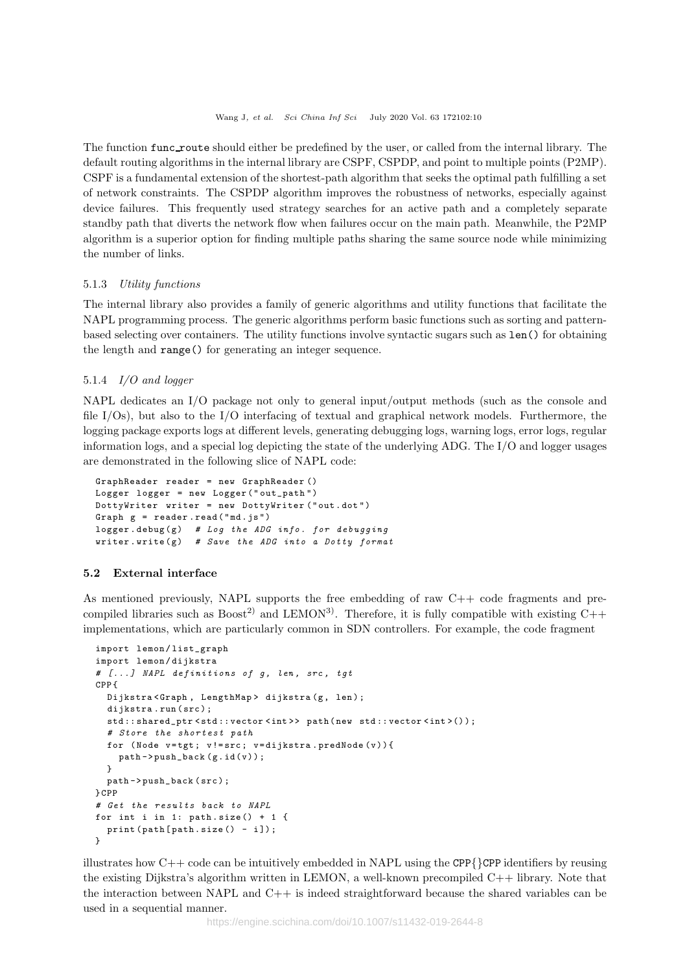The function func route should either be predefined by the user, or called from the internal library. The default routing algorithms in the internal library are CSPF, CSPDP, and point to multiple points (P2MP). CSPF is a fundamental extension of the shortest-path algorithm that seeks the optimal path fulfilling a set of network constraints. The CSPDP algorithm improves the robustness of networks, especially against device failures. This frequently used strategy searches for an active path and a completely separate standby path that diverts the network flow when failures occur on the main path. Meanwhile, the P2MP algorithm is a superior option for finding multiple paths sharing the same source node while minimizing the number of links.

#### 5.1.3 Utility functions

The internal library also provides a family of generic algorithms and utility functions that facilitate the NAPL programming process. The generic algorithms perform basic functions such as sorting and patternbased selecting over containers. The utility functions involve syntactic sugars such as len() for obtaining the length and range() for generating an integer sequence.

#### 5.1.4  $I/O$  and logger

NAPL dedicates an I/O package not only to general input/output methods (such as the console and file I/Os), but also to the I/O interfacing of textual and graphical network models. Furthermore, the logging package exports logs at different levels, generating debugging logs, warning logs, error logs, regular information logs, and a special log depicting the state of the underlying ADG. The I/O and logger usages are demonstrated in the following slice of NAPL code:

```
GraphReader reader = new GraphReader ()
Logger logger = new Logger (" out_path ")
DottyWriter writer = new DottyWriter (" out . dot ")
Graph g = reader . read ( " md . js ")
logger.debug(g) # Log the ADG info. for debugging
writer.write(g) # Save the ADG into a Dotty format
```
#### 5.2 External interface

As mentioned previously, NAPL supports the free embedding of raw  $C++$  code fragments and precompiled libraries such as  $Boost<sup>2</sup>$  and LEMON<sup>3</sup>). Therefore, it is fully compatible with existing  $C++$ implementations, which are particularly common in SDN controllers. For example, the code fragment

```
import lemon / list_graph
import lemon / dijkstra
# [...] NAPL definitions of g, len, src, tgt
CPP {
  Dijkstra<Graph, LengthMap> dijkstra (g, len);
  dijkstra.run(src);
  std :: shared_ptr < std :: vector < int >> path ( new std :: vector < int >() );
  # Store the shortest path
  for (Node v = tgt; v != src; v = dijkstra.predNode(v)){
    path - > push\_back(g.id(v));\overline{1}path -> push_back ( src ) ;
} CPP
# Get the results back to NAPL
for int i in 1: path.size() + 1 {
  print (path [path.size() - i]);
\overline{\phantom{a}}
```
illustrates how  $C++$  code can be intuitively embedded in NAPL using the CPP $\{$ CPP identifiers by reusing the existing Dijkstra's algorithm written in LEMON, a well-known precompiled C++ library. Note that the interaction between NAPL and C++ is indeed straightforward because the shared variables can be used in a sequential manner.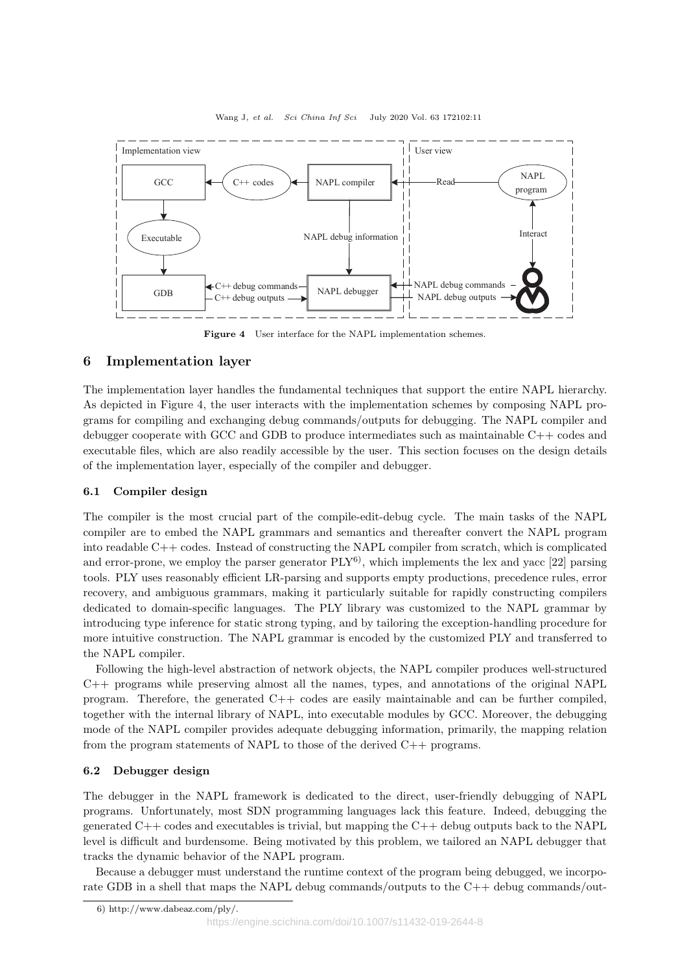



Figure 4 User interface for the NAPL implementation schemes.

# 6 Implementation layer

The implementation layer handles the fundamental techniques that support the entire NAPL hierarchy. As depicted in Figure 4, the user interacts with the implementation schemes by composing NAPL programs for compiling and exchanging debug commands/outputs for debugging. The NAPL compiler and debugger cooperate with GCC and GDB to produce intermediates such as maintainable C++ codes and executable files, which are also readily accessible by the user. This section focuses on the design details of the implementation layer, especially of the compiler and debugger.

## 6.1 Compiler design

The compiler is the most crucial part of the compile-edit-debug cycle. The main tasks of the NAPL compiler are to embed the NAPL grammars and semantics and thereafter convert the NAPL program into readable C++ codes. Instead of constructing the NAPL compiler from scratch, which is complicated and error-prone, we employ the parser generator  $PLY^6$ , which implements the lex and yacc [22] parsing tools. PLY uses reasonably efficient LR-parsing and supports empty productions, precedence rules, error recovery, and ambiguous grammars, making it particularly suitable for rapidly constructing compilers dedicated to domain-specific languages. The PLY library was customized to the NAPL grammar by introducing type inference for static strong typing, and by tailoring the exception-handling procedure for more intuitive construction. The NAPL grammar is encoded by the customized PLY and transferred to the NAPL compiler.

Following the high-level abstraction of network objects, the NAPL compiler produces well-structured C++ programs while preserving almost all the names, types, and annotations of the original NAPL program. Therefore, the generated  $C++$  codes are easily maintainable and can be further compiled, together with the internal library of NAPL, into executable modules by GCC. Moreover, the debugging mode of the NAPL compiler provides adequate debugging information, primarily, the mapping relation from the program statements of NAPL to those of the derived C++ programs.

## 6.2 Debugger design

The debugger in the NAPL framework is dedicated to the direct, user-friendly debugging of NAPL programs. Unfortunately, most SDN programming languages lack this feature. Indeed, debugging the generated  $C++$  codes and executables is trivial, but mapping the  $C++$  debug outputs back to the NAPL level is difficult and burdensome. Being motivated by this problem, we tailored an NAPL debugger that tracks the dynamic behavior of the NAPL program.

Because a debugger must understand the runtime context of the program being debugged, we incorporate GDB in a shell that maps the NAPL debug commands/outputs to the C++ debug commands/out-

<sup>6)</sup> [http://www.dabeaz.com/ply/.](http://www.dabeaz.com/ply/)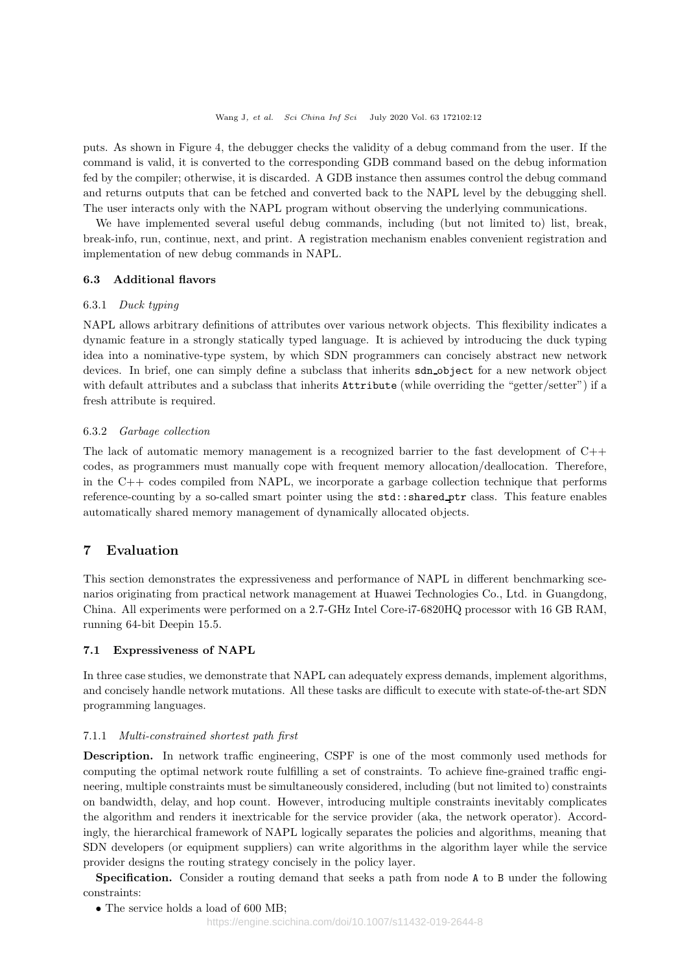puts. As shown in Figure 4, the debugger checks the validity of a debug command from the user. If the command is valid, it is converted to the corresponding GDB command based on the debug information fed by the compiler; otherwise, it is discarded. A GDB instance then assumes control the debug command and returns outputs that can be fetched and converted back to the NAPL level by the debugging shell. The user interacts only with the NAPL program without observing the underlying communications.

We have implemented several useful debug commands, including (but not limited to) list, break, break-info, run, continue, next, and print. A registration mechanism enables convenient registration and implementation of new debug commands in NAPL.

#### 6.3 Additional flavors

#### 6.3.1 Duck typing

NAPL allows arbitrary definitions of attributes over various network objects. This flexibility indicates a dynamic feature in a strongly statically typed language. It is achieved by introducing the duck typing idea into a nominative-type system, by which SDN programmers can concisely abstract new network devices. In brief, one can simply define a subclass that inherits sdn\_object for a new network object with default attributes and a subclass that inherits Attribute (while overriding the "getter/setter") if a fresh attribute is required.

#### 6.3.2 Garbage collection

The lack of automatic memory management is a recognized barrier to the fast development of C++ codes, as programmers must manually cope with frequent memory allocation/deallocation. Therefore, in the C++ codes compiled from NAPL, we incorporate a garbage collection technique that performs reference-counting by a so-called smart pointer using the std::shared ptr class. This feature enables automatically shared memory management of dynamically allocated objects.

# 7 Evaluation

This section demonstrates the expressiveness and performance of NAPL in different benchmarking scenarios originating from practical network management at Huawei Technologies Co., Ltd. in Guangdong, China. All experiments were performed on a 2.7-GHz Intel Core-i7-6820HQ processor with 16 GB RAM, running 64-bit Deepin 15.5.

#### 7.1 Expressiveness of NAPL

In three case studies, we demonstrate that NAPL can adequately express demands, implement algorithms, and concisely handle network mutations. All these tasks are difficult to execute with state-of-the-art SDN programming languages.

#### 7.1.1 Multi-constrained shortest path first

Description. In network traffic engineering, CSPF is one of the most commonly used methods for computing the optimal network route fulfilling a set of constraints. To achieve fine-grained traffic engineering, multiple constraints must be simultaneously considered, including (but not limited to) constraints on bandwidth, delay, and hop count. However, introducing multiple constraints inevitably complicates the algorithm and renders it inextricable for the service provider (aka, the network operator). Accordingly, the hierarchical framework of NAPL logically separates the policies and algorithms, meaning that SDN developers (or equipment suppliers) can write algorithms in the algorithm layer while the service provider designs the routing strategy concisely in the policy layer.

Specification. Consider a routing demand that seeks a path from node A to B under the following constraints:

• The service holds a load of 600 MB;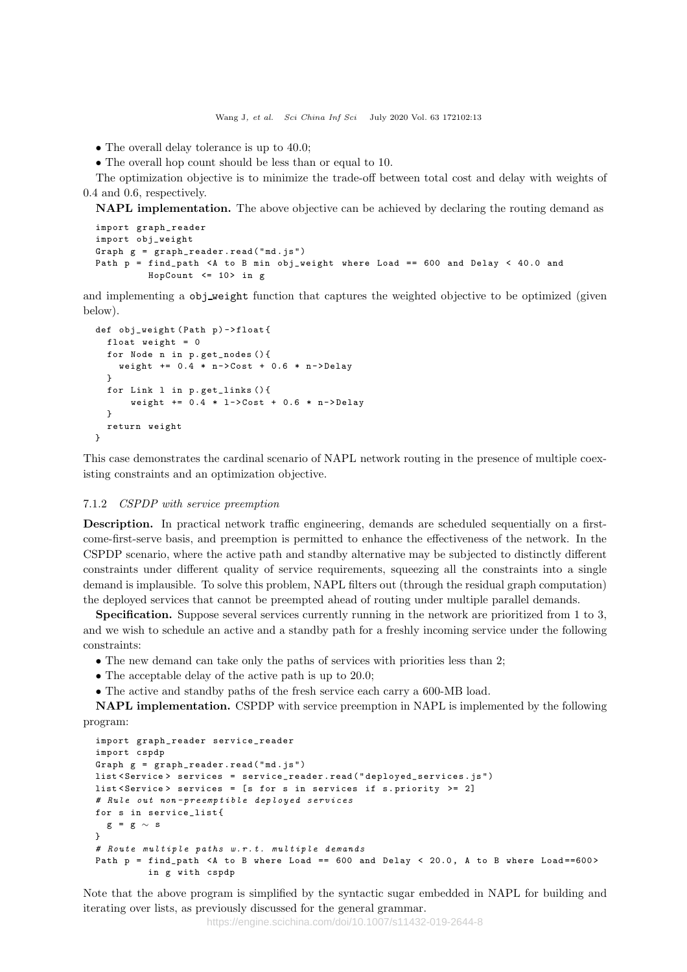Wang J, et al. Sci China Inf Sci July 2020 Vol. 63 172102:13

• The overall delay tolerance is up to 40.0;

• The overall hop count should be less than or equal to 10.

The optimization objective is to minimize the trade-off between total cost and delay with weights of 0.4 and 0.6, respectively.

NAPL implementation. The above objective can be achieved by declaring the routing demand as

```
import graph_reader
import obj_weight
Graph g = graph\_reader.read("md.js")Path p = find-path <A to B min obj_weight where Load == 600 and Delay < 40.0 and
         HopCount \leq 10> in g
```
and implementing a obj\_weight function that captures the weighted objective to be optimized (given below).

```
def obj_weight ( Path p) -> float {
  float weight = 0for Node n in p. get_nodes () {
    weight += 0.4 * n - > Cost + 0.6 * n - > Delay
  \mathbf{r}for Link l in p. get_links () {
      weight += 0.4 * 1 ->Cost + 0.6 * n->Delay
  }
  return weight
}
```
This case demonstrates the cardinal scenario of NAPL network routing in the presence of multiple coexisting constraints and an optimization objective.

#### 7.1.2 CSPDP with service preemption

Description. In practical network traffic engineering, demands are scheduled sequentially on a firstcome-first-serve basis, and preemption is permitted to enhance the effectiveness of the network. In the CSPDP scenario, where the active path and standby alternative may be subjected to distinctly different constraints under different quality of service requirements, squeezing all the constraints into a single demand is implausible. To solve this problem, NAPL filters out (through the residual graph computation) the deployed services that cannot be preempted ahead of routing under multiple parallel demands.

Specification. Suppose several services currently running in the network are prioritized from 1 to 3, and we wish to schedule an active and a standby path for a freshly incoming service under the following constraints:

- The new demand can take only the paths of services with priorities less than 2;
- The acceptable delay of the active path is up to 20.0;
- The active and standby paths of the fresh service each carry a 600-MB load.

NAPL implementation. CSPDP with service preemption in NAPL is implemented by the following program:

```
import graph_reader service_reader
import cspdp
Graph g = graph_reader . read ( " md . js ")
list < Service > services = service_reader . read ( " deployed_services . js ")
list < Service > services = [s for s in services if s.priority >= 2]
# Rule out non-preemptible deployed services
for s in service_list {
  g = g \sim s}
# Route multiple paths w.r.t. multiple demands
Path p = find\_path \leq A to B where Load == 600 and Delay \leq 20.0, A to B where Load==600>
          in g with cspdp
```
Note that the above program is simplified by the syntactic sugar embedded in NAPL for building and iterating over lists, as previously discussed for the general grammar.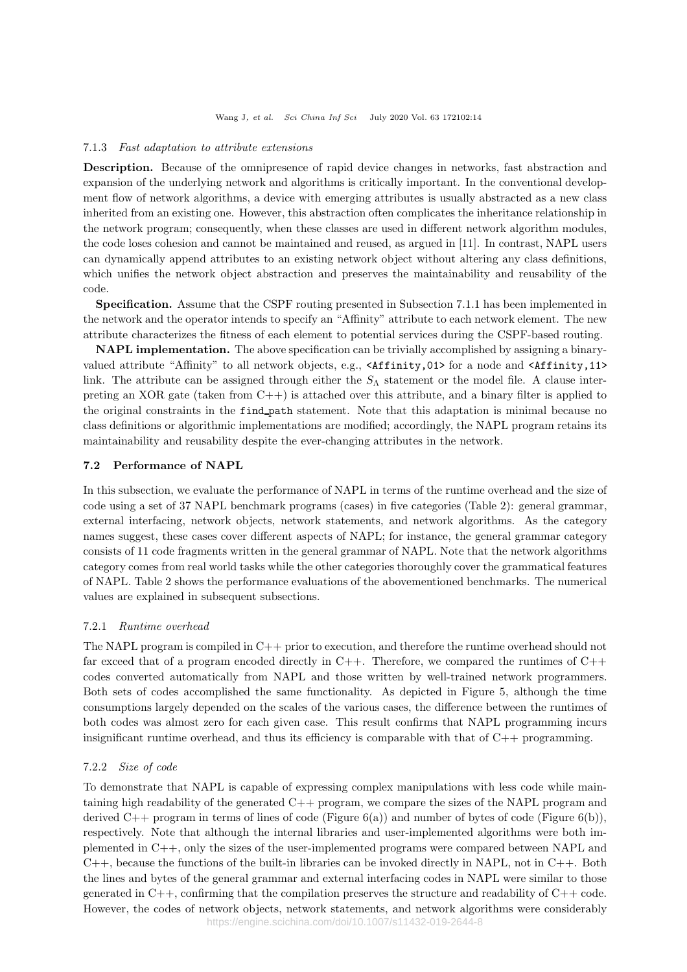#### 7.1.3 Fast adaptation to attribute extensions

Description. Because of the omnipresence of rapid device changes in networks, fast abstraction and expansion of the underlying network and algorithms is critically important. In the conventional development flow of network algorithms, a device with emerging attributes is usually abstracted as a new class inherited from an existing one. However, this abstraction often complicates the inheritance relationship in the network program; consequently, when these classes are used in different network algorithm modules, the code loses cohesion and cannot be maintained and reused, as argued in [11]. In contrast, NAPL users can dynamically append attributes to an existing network object without altering any class definitions, which unifies the network object abstraction and preserves the maintainability and reusability of the code.

Specification. Assume that the CSPF routing presented in Subsection 7.1.1 has been implemented in the network and the operator intends to specify an "Affinity" attribute to each network element. The new attribute characterizes the fitness of each element to potential services during the CSPF-based routing.

NAPL implementation. The above specification can be trivially accomplished by assigning a binaryvalued attribute "Affinity" to all network objects, e.g., <Affinity,01> for a node and <Affinity,11> link. The attribute can be assigned through either the  $S_\Lambda$  statement or the model file. A clause interpreting an XOR gate (taken from  $C_{++}$ ) is attached over this attribute, and a binary filter is applied to the original constraints in the find path statement. Note that this adaptation is minimal because no class definitions or algorithmic implementations are modified; accordingly, the NAPL program retains its maintainability and reusability despite the ever-changing attributes in the network.

#### 7.2 Performance of NAPL

In this subsection, we evaluate the performance of NAPL in terms of the runtime overhead and the size of code using a set of 37 NAPL benchmark programs (cases) in five categories (Table 2): general grammar, external interfacing, network objects, network statements, and network algorithms. As the category names suggest, these cases cover different aspects of NAPL; for instance, the general grammar category consists of 11 code fragments written in the general grammar of NAPL. Note that the network algorithms category comes from real world tasks while the other categories thoroughly cover the grammatical features of NAPL. Table 2 shows the performance evaluations of the abovementioned benchmarks. The numerical values are explained in subsequent subsections.

#### 7.2.1 Runtime overhead

The NAPL program is compiled in C++ prior to execution, and therefore the runtime overhead should not far exceed that of a program encoded directly in C++. Therefore, we compared the runtimes of C++ codes converted automatically from NAPL and those written by well-trained network programmers. Both sets of codes accomplished the same functionality. As depicted in Figure 5, although the time consumptions largely depended on the scales of the various cases, the difference between the runtimes of both codes was almost zero for each given case. This result confirms that NAPL programming incurs insignificant runtime overhead, and thus its efficiency is comparable with that of  $C++$  programming.

#### 7.2.2 Size of code

To demonstrate that NAPL is capable of expressing complex manipulations with less code while maintaining high readability of the generated C++ program, we compare the sizes of the NAPL program and derived  $C_{++}$  program in terms of lines of code (Figure 6(a)) and number of bytes of code (Figure 6(b)), respectively. Note that although the internal libraries and user-implemented algorithms were both implemented in C++, only the sizes of the user-implemented programs were compared between NAPL and  $C++$ , because the functions of the built-in libraries can be invoked directly in NAPL, not in  $C++$ . Both the lines and bytes of the general grammar and external interfacing codes in NAPL were similar to those generated in  $C_{++}$ , confirming that the compilation preserves the structure and readability of  $C_{++}$  code. However, the codes of network objects, network statements, and network algorithms were considerably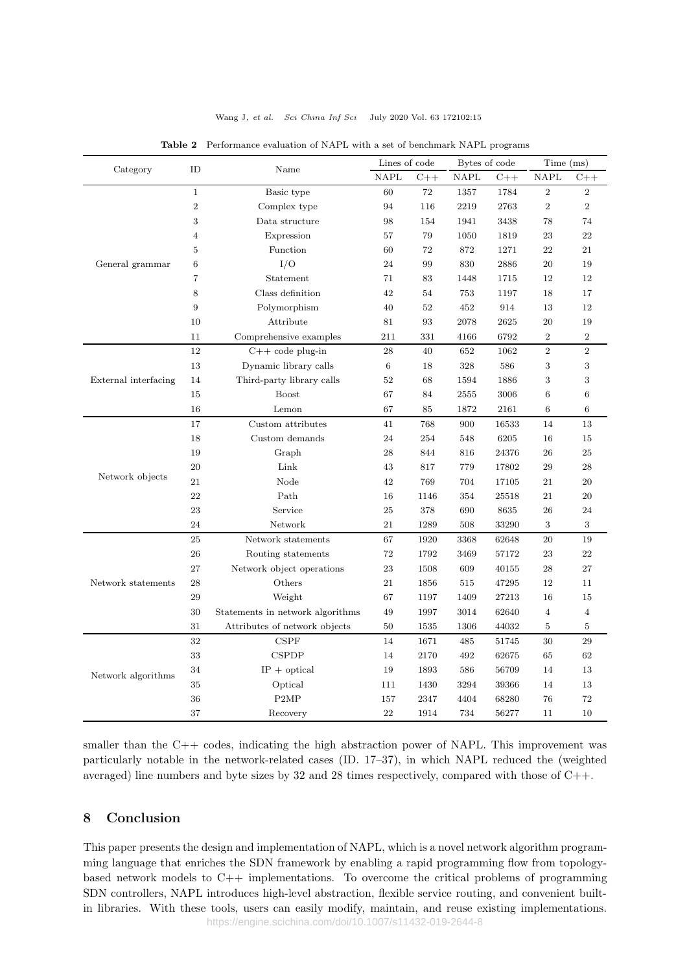| Category             | ID             | Name                             | Lines of code |       | Bytes of code |       | Time (ms)       |                |
|----------------------|----------------|----------------------------------|---------------|-------|---------------|-------|-----------------|----------------|
|                      |                |                                  | NAPL          | $C++$ | NAPL          | $C++$ | <b>NAPL</b>     | $C++$          |
|                      | $\mathbf{1}$   | Basic type                       | 60            | 72    | 1357          | 1784  | $\overline{2}$  | 2              |
|                      | $\,2$          | Complex type                     | 94            | 116   | 2219          | 2763  | $\overline{2}$  | $\overline{2}$ |
|                      | 3              | Data structure                   | 98            | 154   | 1941          | 3438  | 78              | 74             |
|                      | $\overline{4}$ | Expression                       | 57            | 79    | 1050          | 1819  | 23              | 22             |
| General grammar      | 5              | Function                         | 60            | 72    | 872           | 1271  | 22              | 21             |
|                      | $\,6$          | I/O                              | 24            | 99    | 830           | 2886  | 20              | 19             |
|                      | 7              | Statement                        | 71            | 83    | 1448          | 1715  | 12              | 12             |
|                      | 8              | Class definition                 | 42            | 54    | 753           | 1197  | 18              | 17             |
|                      | 9              | Polymorphism                     | 40            | 52    | 452           | 914   | 13              | 12             |
|                      | 10             | Attribute                        | 81            | 93    | 2078          | 2625  | 20              | 19             |
|                      | 11             | Comprehensive examples           | 211           | 331   | 4166          | 6792  | $\overline{2}$  | $\overline{2}$ |
|                      | 12             | $C++$ code plug-in               | 28            | 40    | 652           | 1062  | $\overline{2}$  | $\overline{2}$ |
|                      | 13             | Dynamic library calls            | 6             | 18    | 328           | 586   | 3               | 3              |
| External interfacing | 14             | Third-party library calls        | 52            | 68    | 1594          | 1886  | 3               | 3              |
|                      | 15             | <b>Boost</b>                     | 67            | 84    | 2555          | 3006  | $6\phantom{1}6$ | 6              |
|                      | 16             | Lemon                            | 67            | 85    | 1872          | 2161  | $6\phantom{.}6$ | 6              |
|                      | 17             | Custom attributes                | 41            | 768   | 900           | 16533 | 14              | 13             |
|                      | 18             | Custom demands                   | 24            | 254   | 548           | 6205  | 16              | 15             |
|                      | 19             | Graph                            | 28            | 844   | 816           | 24376 | 26              | 25             |
|                      | 20             | Link                             | 43            | 817   | 779           | 17802 | 29              | 28             |
| Network objects      | 21             | Node                             | 42            | 769   | 704           | 17105 | 21              | 20             |
|                      | 22             | Path                             | 16            | 1146  | 354           | 25518 | 21              | 20             |
|                      | 23             | Service                          | 25            | 378   | 690           | 8635  | 26              | 24             |
|                      | 24             | Network                          | 21            | 1289  | 508           | 33290 | 3               | 3              |
| Network statements   | 25             | Network statements               | 67            | 1920  | 3368          | 62648 | 20              | 19             |
|                      | 26             | Routing statements               | 72            | 1792  | 3469          | 57172 | 23              | 22             |
|                      | 27             | Network object operations        | 23            | 1508  | 609           | 40155 | 28              | 27             |
|                      | 28             | Others                           | 21            | 1856  | 515           | 47295 | 12              | 11             |
|                      | 29             | Weight                           | 67            | 1197  | 1409          | 27213 | 16              | 15             |
|                      | 30             | Statements in network algorithms | 49            | 1997  | 3014          | 62640 | $\overline{4}$  | 4              |
|                      | 31             | Attributes of network objects    | 50            | 1535  | 1306          | 44032 | 5               | $\bf 5$        |
| Network algorithms   | 32             | CSPF                             | 14            | 1671  | 485           | 51745 | 30              | 29             |
|                      | 33             | <b>CSPDP</b>                     | 14            | 2170  | 492           | 62675 | 65              | 62             |
|                      | 34             | $IP + optical$                   | 19            | 1893  | 586           | 56709 | 14              | 13             |
|                      | 35             | Optical                          | 111           | 1430  | 3294          | 39366 | 14              | 13             |
|                      | 36             | P <sub>2</sub> MP                | 157           | 2347  | 4404          | 68280 | 76              | 72             |
|                      | 37             | Recovery                         | 22            | 1914  | 734           | 56277 | 11              | 10             |

Table 2 Performance evaluation of NAPL with a set of benchmark NAPL programs

smaller than the  $C++$  codes, indicating the high abstraction power of NAPL. This improvement was particularly notable in the network-related cases (ID. 17–37), in which NAPL reduced the (weighted averaged) line numbers and byte sizes by 32 and 28 times respectively, compared with those of C++.

# 8 Conclusion

This paper presents the design and implementation of NAPL, which is a novel network algorithm programming language that enriches the SDN framework by enabling a rapid programming flow from topologybased network models to C++ implementations. To overcome the critical problems of programming SDN controllers, NAPL introduces high-level abstraction, flexible service routing, and convenient builtin libraries. With these tools, users can easily modify, maintain, and reuse existing implementations. https://engine.scichina.com/doi/10.1007/s11432-019-2644-8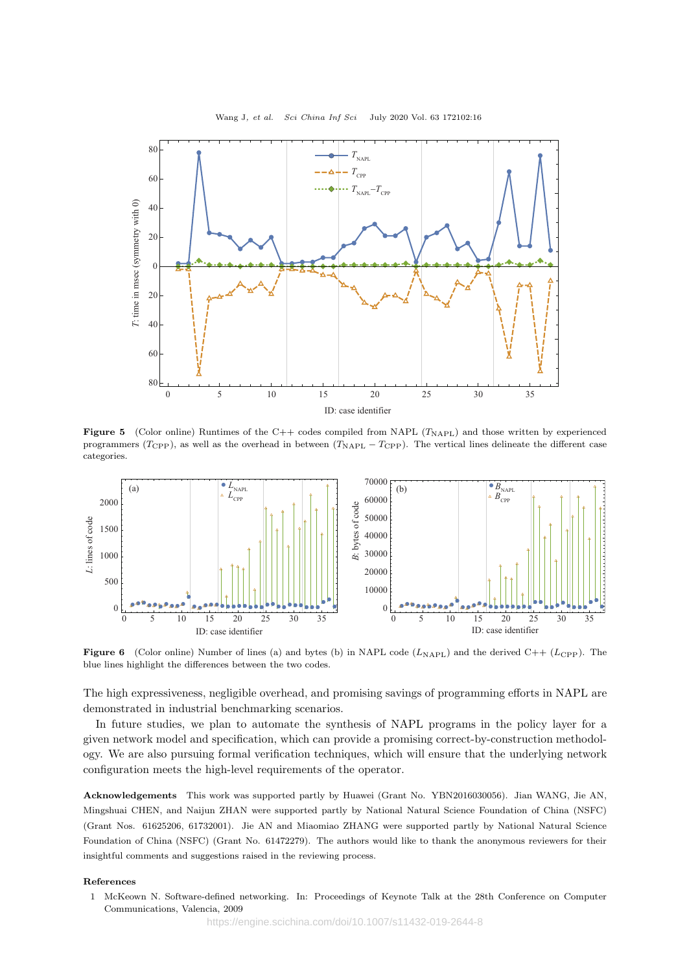

Wang J, et al. Sci China Inf Sci July 2020 Vol. 63 172102:16

Figure 5 (Color online) Runtimes of the C++ codes compiled from NAPL  $(T_{\text{NAPL}})$  and those written by experienced programmers ( $T_{\text{CP}}$ ), as well as the overhead in between  $(T_{\text{NAPL}} - T_{\text{CPP}})$ . The vertical lines delineate the different case categories.



**Figure 6** (Color online) Number of lines (a) and bytes (b) in NAPL code  $(L_{\text{NAPL}})$  and the derived C++  $(L_{\text{CPP}})$ . The blue lines highlight the differences between the two codes.

The high expressiveness, negligible overhead, and promising savings of programming efforts in NAPL are demonstrated in industrial benchmarking scenarios.

In future studies, we plan to automate the synthesis of NAPL programs in the policy layer for a given network model and specification, which can provide a promising correct-by-construction methodology. We are also pursuing formal verification techniques, which will ensure that the underlying network configuration meets the high-level requirements of the operator.

Acknowledgements This work was supported partly by Huawei (Grant No. YBN2016030056). Jian WANG, Jie AN, Mingshuai CHEN, and Naijun ZHAN were supported partly by National Natural Science Foundation of China (NSFC) (Grant Nos. 61625206, 61732001). Jie AN and Miaomiao ZHANG were supported partly by National Natural Science Foundation of China (NSFC) (Grant No. 61472279). The authors would like to thank the anonymous reviewers for their insightful comments and suggestions raised in the reviewing process.

#### References

1 McKeown N. Software-defined networking. In: Proceedings of Keynote Talk at the 28th Conference on Computer Communications, Valencia, 2009